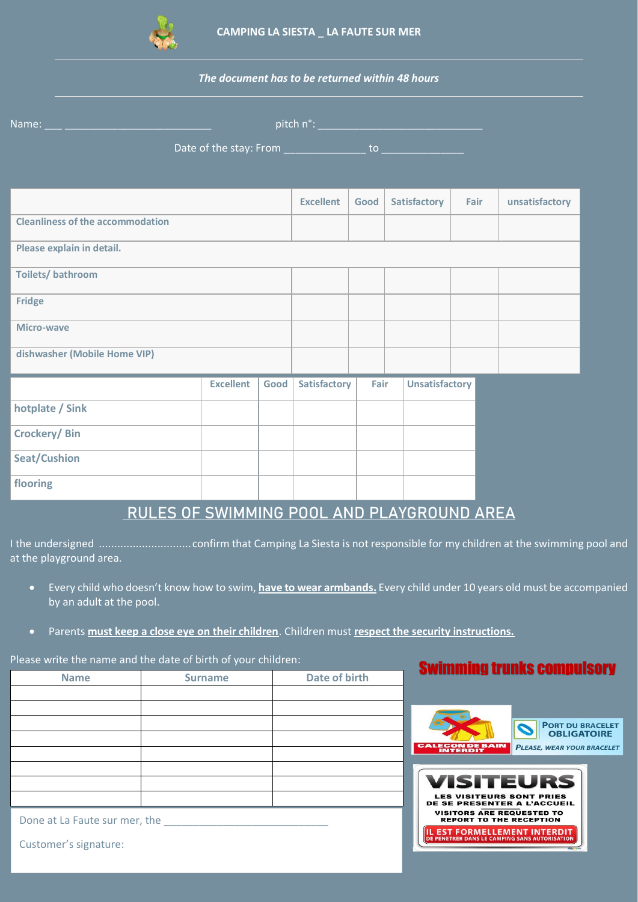

## *The document has to be returned within 48 hours*

| Name: 2008 - 2009 - 2009 - 2010 - 2010 - 2010 - 2010 - 2010 - 2010 - 2010 - 2010 - 2010 - 2010 - 2010 - 2010 - |  |                  |      |                     |      |  |                       |      |                |
|----------------------------------------------------------------------------------------------------------------|--|------------------|------|---------------------|------|--|-----------------------|------|----------------|
|                                                                                                                |  |                  |      |                     |      |  |                       |      |                |
|                                                                                                                |  |                  |      |                     |      |  |                       |      |                |
|                                                                                                                |  |                  |      | <b>Excellent</b>    | Good |  | Satisfactory          | Fair | unsatisfactory |
| <b>Cleanliness of the accommodation</b>                                                                        |  |                  |      |                     |      |  |                       |      |                |
| Please explain in detail.                                                                                      |  |                  |      |                     |      |  |                       |      |                |
| <b>Toilets/bathroom</b>                                                                                        |  |                  |      |                     |      |  |                       |      |                |
| <b>Fridge</b>                                                                                                  |  |                  |      |                     |      |  |                       |      |                |
| <b>Micro-wave</b>                                                                                              |  |                  |      |                     |      |  |                       |      |                |
| dishwasher (Mobile Home VIP)                                                                                   |  |                  |      |                     |      |  |                       |      |                |
|                                                                                                                |  | <b>Excellent</b> | Good | <b>Satisfactory</b> | Fair |  | <b>Unsatisfactory</b> |      |                |
| hotplate / Sink                                                                                                |  |                  |      |                     |      |  |                       |      |                |
| Crockery/Bin                                                                                                   |  |                  |      |                     |      |  |                       |      |                |
| <b>Seat/Cushion</b>                                                                                            |  |                  |      |                     |      |  |                       |      |                |
| flooring                                                                                                       |  |                  |      |                     |      |  |                       |      |                |

## RULES OF SWIMMING POOL AND PLAYGROUND AREA

I the undersigned ..............................confirm that Camping La Siesta is not responsible for my children at the swimming pool and at the playground area.

- Every child who doesn't know how to swim, **have to wear armbands.** Every child under 10 years old must be accompanied by an adult at the pool.
- Parents **must keep a close eye on their children**. Children must **respect the security instructions.**

## Please write the name and the date of birth of your children:

| <b>Name</b>                   | <b>Surname</b> | Date of birth |  |  |  |  |  |
|-------------------------------|----------------|---------------|--|--|--|--|--|
|                               |                |               |  |  |  |  |  |
|                               |                |               |  |  |  |  |  |
|                               |                |               |  |  |  |  |  |
|                               |                |               |  |  |  |  |  |
|                               |                |               |  |  |  |  |  |
|                               |                |               |  |  |  |  |  |
|                               |                |               |  |  |  |  |  |
|                               |                |               |  |  |  |  |  |
| Done at La Faute sur mer, the |                |               |  |  |  |  |  |

**Swimming trunks compulsory** 



Customer's signature: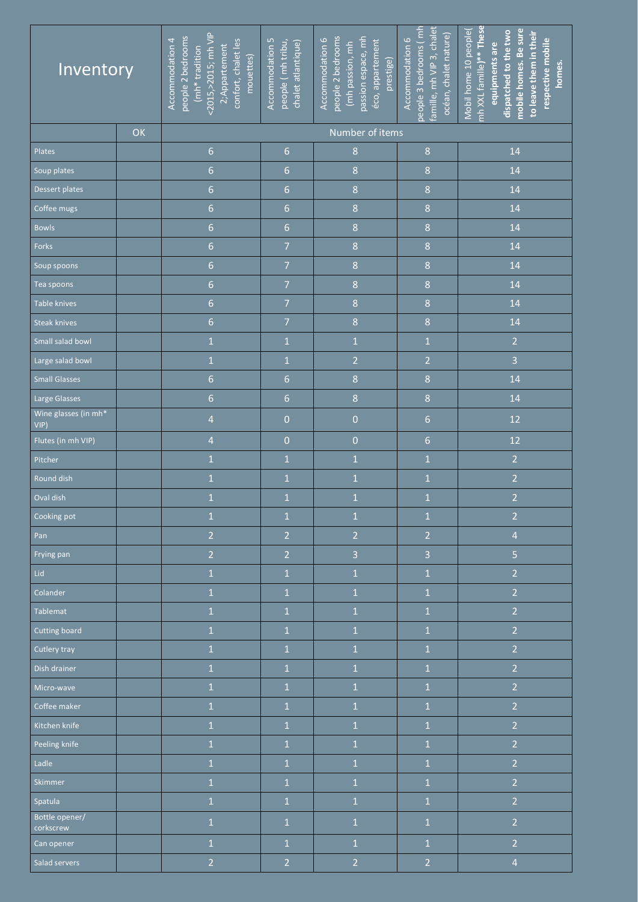| Inventory                   |    | <2015,>2015; mh VIP<br>people 2 bedrooms<br>Accommodation 4<br>confort, chalet les<br>2;Appartement<br>(mh*tradition<br>mouettes) | people 2 bedrooms<br>passion espace, mh<br>Accommodation 6<br>Accommodation 5<br>people (mh tribu,<br>éco, appartement<br>chalet atlantique)<br>(mh passion, mh<br>prestige) |                         | people 3 bedrooms (mh<br>famille, mh VIP 3, chalet<br>océan, chalet nature)<br>Accommodation 6 | mh XXL famille)** These<br>mobile homes. Be sure<br>Mobil home 10 people<br>dispatched to the two<br>to leave them in their<br>respective mobile<br>equipments are<br>homes. |
|-----------------------------|----|-----------------------------------------------------------------------------------------------------------------------------------|------------------------------------------------------------------------------------------------------------------------------------------------------------------------------|-------------------------|------------------------------------------------------------------------------------------------|------------------------------------------------------------------------------------------------------------------------------------------------------------------------------|
|                             | OK |                                                                                                                                   |                                                                                                                                                                              | Number of items         |                                                                                                |                                                                                                                                                                              |
| Plates                      |    | $6 \overline{6}$                                                                                                                  | $6\phantom{.}6$                                                                                                                                                              | $\,8$                   | $\boldsymbol{8}$                                                                               | 14                                                                                                                                                                           |
| Soup plates                 |    | $\overline{6}$                                                                                                                    | $\overline{6}$                                                                                                                                                               | $\,8$                   | $\,8$                                                                                          | 14                                                                                                                                                                           |
| Dessert plates              |    | $\overline{6}$                                                                                                                    | $\overline{6}$                                                                                                                                                               | $\bf 8$                 | $\boldsymbol{8}$                                                                               | 14                                                                                                                                                                           |
| Coffee mugs                 |    | $\overline{6}$                                                                                                                    | $\overline{6}$                                                                                                                                                               | $\,8$                   | $\,8$                                                                                          | 14                                                                                                                                                                           |
| <b>Bowls</b>                |    | $\overline{6}$                                                                                                                    | $\overline{6}$                                                                                                                                                               | $\,8$                   | $\boldsymbol{8}$                                                                               | 14                                                                                                                                                                           |
| Forks                       |    | $\overline{6}$                                                                                                                    | $\overline{7}$                                                                                                                                                               | $\,8\,$                 | $\,8$                                                                                          | 14                                                                                                                                                                           |
| Soup spoons                 |    | $\overline{6}$                                                                                                                    | $\overline{7}$                                                                                                                                                               | $\boldsymbol{8}$        | $\,8\,$                                                                                        | 14                                                                                                                                                                           |
| Tea spoons                  |    | $\overline{6}$                                                                                                                    | $\overline{7}$                                                                                                                                                               | $\,8$                   | $\,8$                                                                                          | 14                                                                                                                                                                           |
| Table knives                |    | $\overline{6}$                                                                                                                    | $\overline{7}$                                                                                                                                                               | $\boldsymbol{8}$        | $\boldsymbol{8}$                                                                               | 14                                                                                                                                                                           |
| Steak knives                |    | $\overline{6}$                                                                                                                    | $\overline{7}$                                                                                                                                                               | $\boldsymbol{8}$        | $\,8\,$                                                                                        | 14                                                                                                                                                                           |
| Small salad bowl            |    | $\mathbf 1$                                                                                                                       | $\mathbf 1$                                                                                                                                                                  | $\mathbf 1$             | $\mathbf 1$                                                                                    | $\overline{2}$                                                                                                                                                               |
| Large salad bowl            |    | $\mathbf 1$                                                                                                                       | $\mathbf 1$                                                                                                                                                                  | $\overline{2}$          | $\overline{2}$                                                                                 | 3                                                                                                                                                                            |
| <b>Small Glasses</b>        |    | $\overline{6}$                                                                                                                    | $\overline{6}$                                                                                                                                                               | $\boldsymbol{8}$        | $\overline{8}$                                                                                 | 14                                                                                                                                                                           |
| Large Glasses               |    | $\overline{6}$                                                                                                                    | $6 \overline{6}$                                                                                                                                                             | $\,8$                   | $\boldsymbol{8}$                                                                               | 14                                                                                                                                                                           |
| Wine glasses (in mh*<br>VIP |    | $\overline{4}$                                                                                                                    | $\overline{0}$                                                                                                                                                               | $\overline{0}$          | $6\phantom{.}6$                                                                                | 12                                                                                                                                                                           |
| Flutes (in mh VIP)          |    | $\overline{4}$                                                                                                                    | $\overline{0}$                                                                                                                                                               | $\overline{0}$          | $\overline{6}$                                                                                 | 12                                                                                                                                                                           |
| Pitcher                     |    | $\mathbf 1$                                                                                                                       | $\mathbf 1$                                                                                                                                                                  | $\mathbf{1}$            | $\mathbf 1$                                                                                    | $\overline{2}$                                                                                                                                                               |
| Round dish                  |    | $\mathbf 1$                                                                                                                       | $\mathbf 1$                                                                                                                                                                  | $\mathbf 1$             | $\mathbf 1$                                                                                    | $\overline{2}$                                                                                                                                                               |
| Oval dish                   |    | $\mathbf 1$                                                                                                                       | $\overline{1}$                                                                                                                                                               | $\overline{1}$          | $\overline{1}$                                                                                 | $\overline{2}$                                                                                                                                                               |
| Cooking pot                 |    | $\mathbf{1}$                                                                                                                      | $\mathbf 1$                                                                                                                                                                  | $\mathbf 1$             | $\mathbf 1$                                                                                    | $\overline{2}$                                                                                                                                                               |
| Pan                         |    | $\overline{2}$                                                                                                                    | $\overline{2}$                                                                                                                                                               | $\overline{2}$          | $\overline{2}$                                                                                 | $\overline{4}$                                                                                                                                                               |
| Frying pan                  |    | $\overline{2}$                                                                                                                    | $\overline{2}$                                                                                                                                                               | $\overline{\mathbf{3}}$ | $\overline{3}$                                                                                 | 5                                                                                                                                                                            |
| Lid                         |    | $\mathbf{1}$                                                                                                                      | $\mathbf{1}$                                                                                                                                                                 | $\overline{1}$          | $\mathbf{1}$                                                                                   | $\overline{2}$                                                                                                                                                               |
| Colander                    |    | $\mathbf{1}$                                                                                                                      | $\overline{1}$                                                                                                                                                               | $\overline{1}$          | $\mathbf{1}$                                                                                   | $\overline{2}$                                                                                                                                                               |
| <b>Tablemat</b>             |    | $\mathbf{1}$                                                                                                                      | $\mathbf{1}$                                                                                                                                                                 | $\mathbf{1}$            | $\mathbf{1}$                                                                                   | $\overline{2}$                                                                                                                                                               |
| <b>Cutting board</b>        |    | $\mathbf{1}$                                                                                                                      | $\mathbf{1}$                                                                                                                                                                 | $\mathbf{1}$            | $\mathbf{1}$                                                                                   | $\overline{2}$                                                                                                                                                               |
| Cutlery tray                |    | $\mathbf{1}$                                                                                                                      | $\mathbf{1}$                                                                                                                                                                 | $\overline{1}$          | $\overline{1}$                                                                                 | $\overline{2}$                                                                                                                                                               |
| Dish drainer                |    | $1\,$                                                                                                                             | $1\,$                                                                                                                                                                        | $\mathbf 1$             | $\mathbf 1$                                                                                    | $\overline{2}$                                                                                                                                                               |
| Micro-wave                  |    | $1\,$                                                                                                                             | $1\,$                                                                                                                                                                        | $\mathbf 1$             | $\mathbf 1$                                                                                    | $\overline{2}$                                                                                                                                                               |
| Coffee maker                |    | $1\,$                                                                                                                             | $\mathbf 1$                                                                                                                                                                  | $\mathbf 1$             | $\mathbf 1$                                                                                    | $\overline{2}$                                                                                                                                                               |
| Kitchen knife               |    | $\mathbf{1}$                                                                                                                      | $\mathbf 1$                                                                                                                                                                  | $\mathbf{1}$            | $\mathbf{1}$                                                                                   | $\overline{2}$                                                                                                                                                               |
| Peeling knife               |    | $\overline{1}$                                                                                                                    | $\mathbf{1}$                                                                                                                                                                 | $\mathbf{1}$            | $\overline{1}$                                                                                 | $\overline{2}$                                                                                                                                                               |
| Ladle                       |    | $\overline{1}$                                                                                                                    | $\mathbf{1}$                                                                                                                                                                 | $\mathbf{1}$            | $\mathbf{1}$                                                                                   | $\overline{2}$                                                                                                                                                               |
| Skimmer                     |    | $\mathbf{1}$                                                                                                                      | $\overline{1}$                                                                                                                                                               | $\mathbf{1}$            | $\mathbf{1}$                                                                                   | $\overline{2}$                                                                                                                                                               |
| Spatula                     |    | $\mathbf{1}$                                                                                                                      | $\overline{1}$                                                                                                                                                               | $\mathbf{1}$            | $\mathbf{1}$                                                                                   | $\overline{2}$                                                                                                                                                               |
| Bottle opener/<br>corkscrew |    | $\mathbf{1}$                                                                                                                      | $\mathbf{1}$                                                                                                                                                                 | $\mathbf 1$             | $\mathbf{1}$                                                                                   | $\overline{2}$                                                                                                                                                               |
| Can opener                  |    | $\mathbf{1}$                                                                                                                      | $\overline{1}$                                                                                                                                                               | $\mathbf{1}$            | $\mathbf{1}$                                                                                   | $\overline{2}$                                                                                                                                                               |
| Salad servers               |    | $\overline{2}$                                                                                                                    | $\overline{2}$                                                                                                                                                               | $\overline{2}$          | $\overline{2}$                                                                                 | $\overline{4}$                                                                                                                                                               |